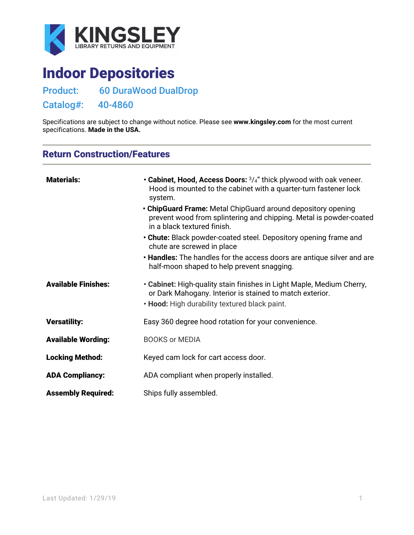

# Indoor Depositories

Product: 60 DuraWood DualDrop

Catalog#: 40-4860

Specifications are subject to change without notice. Please see **[www.kingsley.com](http://www.kingsley.com/)** for the most current specifications. **Made in the USA.**

## Return Construction/Features

| <b>Materials:</b>          | • Cabinet, Hood, Access Doors: $\frac{3}{4}$ " thick plywood with oak veneer.<br>Hood is mounted to the cabinet with a quarter-turn fastener lock<br>system.                       |
|----------------------------|------------------------------------------------------------------------------------------------------------------------------------------------------------------------------------|
|                            | • ChipGuard Frame: Metal ChipGuard around depository opening<br>prevent wood from splintering and chipping. Metal is powder-coated<br>in a black textured finish.                  |
|                            | • Chute: Black powder-coated steel. Depository opening frame and<br>chute are screwed in place                                                                                     |
|                            | . Handles: The handles for the access doors are antique silver and are<br>half-moon shaped to help prevent snagging.                                                               |
| <b>Available Finishes:</b> | • Cabinet: High-quality stain finishes in Light Maple, Medium Cherry,<br>or Dark Mahogany. Interior is stained to match exterior.<br>. Hood: High durability textured black paint. |
| <b>Versatility:</b>        | Easy 360 degree hood rotation for your convenience.                                                                                                                                |
| <b>Available Wording:</b>  | <b>BOOKS or MEDIA</b>                                                                                                                                                              |
| <b>Locking Method:</b>     | Keyed cam lock for cart access door.                                                                                                                                               |
| <b>ADA Compliancy:</b>     | ADA compliant when properly installed.                                                                                                                                             |
| <b>Assembly Required:</b>  | Ships fully assembled.                                                                                                                                                             |